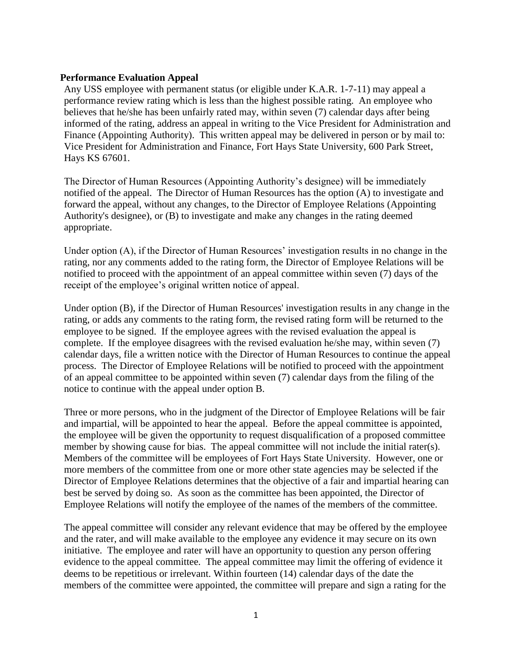## **Performance Evaluation Appeal**

Any USS employee with permanent status (or eligible under K.A.R. 1-7-11) may appeal a performance review rating which is less than the highest possible rating. An employee who believes that he/she has been unfairly rated may, within seven (7) calendar days after being informed of the rating, address an appeal in writing to the Vice President for Administration and Finance (Appointing Authority). This written appeal may be delivered in person or by mail to: Vice President for Administration and Finance, Fort Hays State University, 600 Park Street, Hays KS 67601.

The Director of Human Resources (Appointing Authority's designee) will be immediately notified of the appeal. The Director of Human Resources has the option (A) to investigate and forward the appeal, without any changes, to the Director of Employee Relations (Appointing Authority's designee), or (B) to investigate and make any changes in the rating deemed appropriate.

Under option (A), if the Director of Human Resources' investigation results in no change in the rating, nor any comments added to the rating form, the Director of Employee Relations will be notified to proceed with the appointment of an appeal committee within seven (7) days of the receipt of the employee's original written notice of appeal.

Under option (B), if the Director of Human Resources' investigation results in any change in the rating, or adds any comments to the rating form, the revised rating form will be returned to the employee to be signed. If the employee agrees with the revised evaluation the appeal is complete. If the employee disagrees with the revised evaluation he/she may, within seven (7) calendar days, file a written notice with the Director of Human Resources to continue the appeal process. The Director of Employee Relations will be notified to proceed with the appointment of an appeal committee to be appointed within seven (7) calendar days from the filing of the notice to continue with the appeal under option B.

Three or more persons, who in the judgment of the Director of Employee Relations will be fair and impartial, will be appointed to hear the appeal. Before the appeal committee is appointed, the employee will be given the opportunity to request disqualification of a proposed committee member by showing cause for bias. The appeal committee will not include the initial rater(s). Members of the committee will be employees of Fort Hays State University. However, one or more members of the committee from one or more other state agencies may be selected if the Director of Employee Relations determines that the objective of a fair and impartial hearing can best be served by doing so. As soon as the committee has been appointed, the Director of Employee Relations will notify the employee of the names of the members of the committee.

The appeal committee will consider any relevant evidence that may be offered by the employee and the rater, and will make available to the employee any evidence it may secure on its own initiative. The employee and rater will have an opportunity to question any person offering evidence to the appeal committee. The appeal committee may limit the offering of evidence it deems to be repetitious or irrelevant. Within fourteen (14) calendar days of the date the members of the committee were appointed, the committee will prepare and sign a rating for the